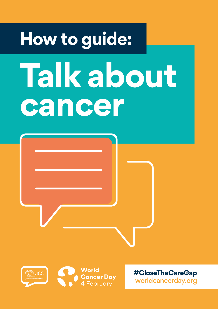# **How to guide: Talk about cancer**





**#CloseTheCareGap** [worldcancerday.org](http://worldcancerday.org)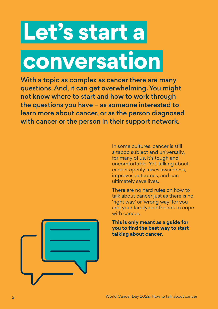## **Let's start a**

**conversation**

With a topic as complex as cancer there are many questions. And, it can get overwhelming. You might not know where to start and how to work through the questions you have – as someone interested to learn more about cancer, or as the person diagnosed with cancer or the person in their support network.

> In some cultures, cancer is still a taboo subject and universally, for many of us, it's tough and uncomfortable. Yet, talking about cancer openly raises awareness, improves outcomes, and can ultimately save lives.

There are no hard rules on how to talk about cancer just as there is no 'right way' or 'wrong way' for you and your family and friends to cope with cancer.

**This is only meant as a guide for you to find the best way to start talking about cancer.**

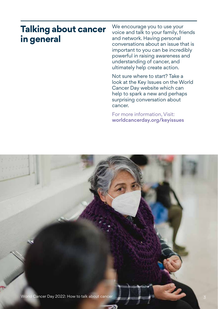### **Talking about cancer in general**

We encourage you to use your voice and talk to your family, friends and network. Having personal conversations about an issue that is important to you can be incredibly powerful in raising awareness and understanding of cancer, and ultimately help create action.

Not sure where to start? Take a look at the Key Issues on the World Cancer Day website which can help to spark a new and perhaps surprising conversation about cancer.

For more information, Visit: [worldcancerday.org/keyissues](http://worldcancerday.org/keyissues)

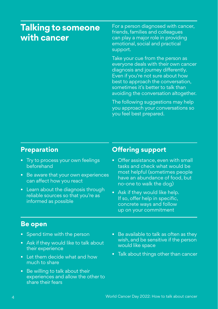#### **Talking to someone with cancer**

For a person diagnosed with cancer, friends, families and colleagues can play a major role in providing emotional, social and practical support.

Take your cue from the person as everyone deals with their own cancer diagnosis and journey differently. Even if you're not sure about how best to approach the conversation, sometimes it's better to talk than avoiding the conversation altogether.

The following suggestions may help you approach your conversations so you feel best prepared.

#### **Preparation**

- Try to process your own feelings beforehand
- Be aware that your own experiences can affect how you react
- Learn about the diagnosis through reliable sources so that you're as informed as possible

#### **Offering support**

- Offer assistance, even with small tasks and check what would be most helpful (sometimes people have an abundance of food, but no-one to walk the dog)
- Ask if they would like help. If so, offer help in specific, concrete ways and follow up on your commitment

#### **Be open**

- Spend time with the person
- Ask if they would like to talk about their experience
- Let them decide what and how much to share
- Be willing to talk about their experiences and allow the other to share their fears
- Be available to talk as often as they wish, and be sensitive if the person would like space
- Talk about things other than cancer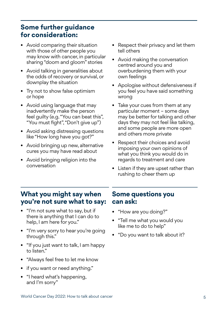#### **Some further guidance for consideration:**

- Avoid comparing their situation with those of other people you may know with cancer, in particular sharing "doom and gloom" stories
- Avoid talking in generalities about the odds of recovery or survival, or downplay the situation
- Try not to show false optimism or hope
- Avoid using language that may inadvertently make the person feel guilty (e.g. "You can beat this", "You must fight", "Don't give up")
- Avoid asking distressing questions like "How long have you got?"
- Avoid bringing up new, alternative cures you may have read about
- Avoid bringing religion into the conversation
- Respect their privacy and let them tell others
- Avoid making the conversation centred around you and overburdening them with your own feelings
- Apologise without defensiveness if you feel you have said something wrong
- Take your cues from them at any particular moment – some days may be better for talking and other days they may not feel like talking, and some people are more open and others more private
- Respect their choices and avoid imposing your own opinions of what you think you would do in regards to treatment and care
- Listen if they are upset rather than rushing to cheer them up

#### **What you might say when you're not sure what to say:**

- "I'm not sure what to say, but if there is anything that I can do to help, I am here for you."
- "I'm very sorry to hear you're going through this."
- "If you just want to talk, I am happy to listen."
- "Always feel free to let me know
- if you want or need anything."
- "I heard what's happening, and I'm sorry"

#### **Some questions you can ask:**

- "How are you doing?"
- "Tell me what you would you like me to do to help"
- "Do you want to talk about it?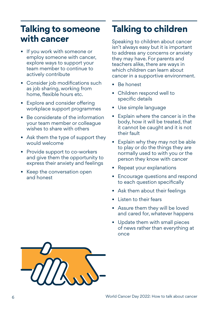### **Talking to someone Talking to children with cancer** Speaking to children about cancer

- If you work with someone or employ someone with cancer, explore ways to support your team member to continue to actively contribute
- Consider job modifications such as job sharing, working from home, flexible hours etc.
- Explore and consider offering workplace support programmes
- Be considerate of the information your team member or colleague wishes to share with others
- Ask them the type of support they would welcome
- Provide support to co-workers and give them the opportunity to express their anxiety and feelings
- Keep the conversation open and honest

isn't always easy but it is important to address any concerns or anxiety they may have. For parents and teachers alike, there are ways in which children can learn about cancer in a supportive environment.

- Be honest
- Children respond well to specific details
- Use simple language
- Explain where the cancer is in the body, how it will be treated, that it cannot be caught and it is not their fault
- Explain why they may not be able to play or do the things they are normally used to with you or the person they know with cancer
- Repeat your explanations
- Encourage questions and respond to each question specifically
- Ask them about their feelings
- Listen to their fears
- Assure them they will be loved and cared for, whatever happens
- Update them with small pieces of news rather than everything at once

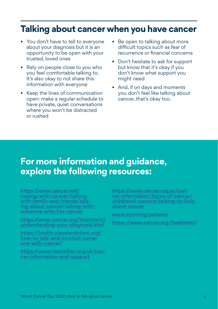#### **Talking about cancer when you have cancer**

- You don't have to tell to everyone about your diagnosis but it is an opportunity to be open with your trusted, loved ones
- Rely on people close to you who you feel comfortable talking to. It's also okay to not share this information with everyone
- Keep the lines of communication open: make a regular schedule to have private, quiet conversations where you won't be distracted or rushed
- Be open to talking about more difficult topics such as fear of recurrence or financial concerns
- Don't hesitate to ask for support but know that it's okay if you don't know what support you might need
- And, if on days and moments you don't feel like talking about cancer, that's okay too.

#### **For more information and guidance, explore the following resources:**

[https://www.cancer.net/](https://www.cancer.net/coping-with-cancer/talking-with-family-and-friends/talking-about-cancer/talking-with-someone-who-has-cancer) [coping-with-cancer/talking](https://www.cancer.net/coping-with-cancer/talking-with-family-and-friends/talking-about-cancer/talking-with-someone-who-has-cancer)[with-family-and-friends/talk](https://www.cancer.net/coping-with-cancer/talking-with-family-and-friends/talking-about-cancer/talking-with-someone-who-has-cancer)[ing-about-cancer/talking-with](https://www.cancer.net/coping-with-cancer/talking-with-family-and-friends/talking-about-cancer/talking-with-someone-who-has-cancer)[someone-who-has-cancer](https://www.cancer.net/coping-with-cancer/talking-with-family-and-friends/talking-about-cancer/talking-with-someone-who-has-cancer)

[https://www.cancer.org/treatment/](https://www.cancer.org/treatment/understanding-your-diagnosis.html) [understanding-your-diagnosis.html](https://www.cancer.org/treatment/understanding-your-diagnosis.html)

[https://health.clevelandclinic.org/](https://health.clevelandclinic.org/how-to-talk-and-comfort-someone-with-cancer/) [how-to-talk-and-comfort-some](https://health.clevelandclinic.org/how-to-talk-and-comfort-someone-with-cancer/)[one-with-cancer/](https://health.clevelandclinic.org/how-to-talk-and-comfort-someone-with-cancer/)

[https://www.macmillan.org.uk/can](https://www.macmillan.org.uk/cancer-information-and-support)[cer-information-and-support](https://www.macmillan.org.uk/cancer-information-and-support)

[https://www.cancer.org.au/can](https://www.cancer.org.au/cancer-information/types-of-cancer/childhood-cancers/talking-to-kids-about-cancer)[cer-information/types-of-cancer/](https://www.cancer.org.au/cancer-information/types-of-cancer/childhood-cancers/talking-to-kids-about-cancer) [childhood-cancers/talking-to-kids](https://www.cancer.org.au/cancer-information/types-of-cancer/childhood-cancers/talking-to-kids-about-cancer)[about-cancer](https://www.cancer.org.au/cancer-information/types-of-cancer/childhood-cancers/talking-to-kids-about-cancer)

[www.nccn.org/patients](https://www.nccn.org/patientresources/patient-resources)

<https://www.cancer.org/treatment/>